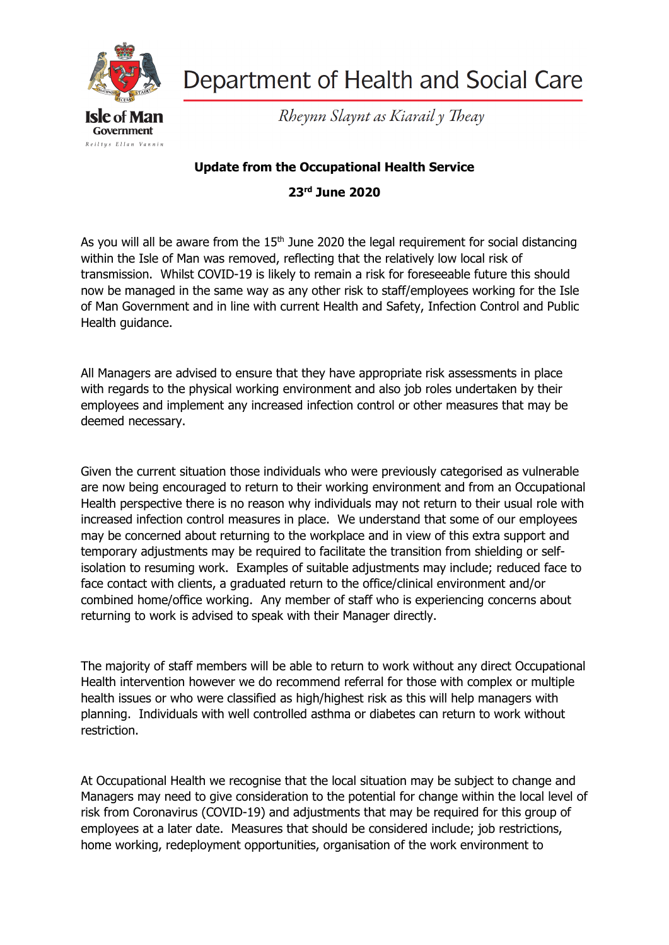

Department of Health and Social Care

Rheynn Slaynt as Kiarail y Theay

## **Update from the Occupational Health Service**

**23rd June 2020**

As you will all be aware from the  $15<sup>th</sup>$  June 2020 the legal requirement for social distancing within the Isle of Man was removed, reflecting that the relatively low local risk of transmission. Whilst COVID-19 is likely to remain a risk for foreseeable future this should now be managed in the same way as any other risk to staff/employees working for the Isle of Man Government and in line with current Health and Safety, Infection Control and Public Health guidance.

All Managers are advised to ensure that they have appropriate risk assessments in place with regards to the physical working environment and also job roles undertaken by their employees and implement any increased infection control or other measures that may be deemed necessary.

Given the current situation those individuals who were previously categorised as vulnerable are now being encouraged to return to their working environment and from an Occupational Health perspective there is no reason why individuals may not return to their usual role with increased infection control measures in place. We understand that some of our employees may be concerned about returning to the workplace and in view of this extra support and temporary adjustments may be required to facilitate the transition from shielding or selfisolation to resuming work. Examples of suitable adjustments may include; reduced face to face contact with clients, a graduated return to the office/clinical environment and/or combined home/office working. Any member of staff who is experiencing concerns about returning to work is advised to speak with their Manager directly.

The majority of staff members will be able to return to work without any direct Occupational Health intervention however we do recommend referral for those with complex or multiple health issues or who were classified as high/highest risk as this will help managers with planning. Individuals with well controlled asthma or diabetes can return to work without restriction.

At Occupational Health we recognise that the local situation may be subject to change and Managers may need to give consideration to the potential for change within the local level of risk from Coronavirus (COVID-19) and adjustments that may be required for this group of employees at a later date. Measures that should be considered include; job restrictions, home working, redeployment opportunities, organisation of the work environment to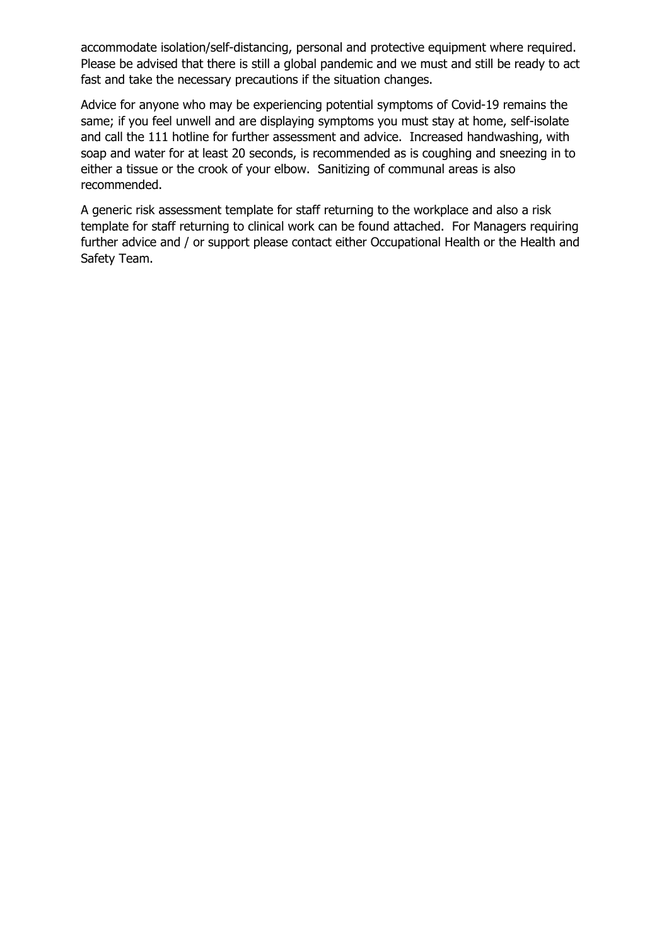accommodate isolation/self-distancing, personal and protective equipment where required. Please be advised that there is still a global pandemic and we must and still be ready to act fast and take the necessary precautions if the situation changes.

Advice for anyone who may be experiencing potential symptoms of Covid-19 remains the same; if you feel unwell and are displaying symptoms you must stay at home, self-isolate and call the 111 hotline for further assessment and advice. Increased handwashing, with soap and water for at least 20 seconds, is recommended as is coughing and sneezing in to either a tissue or the crook of your elbow. Sanitizing of communal areas is also recommended.

A generic risk assessment template for staff returning to the workplace and also a risk template for staff returning to clinical work can be found attached. For Managers requiring further advice and / or support please contact either Occupational Health or the Health and Safety Team.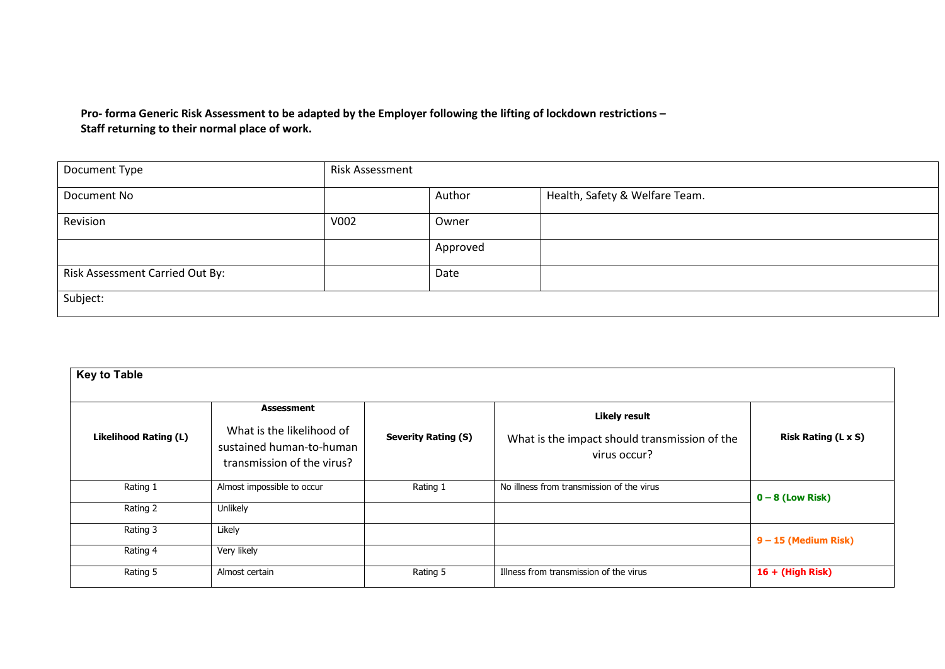**Pro- forma Generic Risk Assessment to be adapted by the Employer following the lifting of lockdown restrictions – Staff returning to their normal place of work.**

| Document Type                   | <b>Risk Assessment</b> |          |                                |
|---------------------------------|------------------------|----------|--------------------------------|
| Document No                     |                        | Author   | Health, Safety & Welfare Team. |
| Revision                        | V002                   | Owner    |                                |
|                                 |                        | Approved |                                |
| Risk Assessment Carried Out By: |                        | Date     |                                |
| Subject:                        |                        |          |                                |

| <b>Key to Table</b>          |                                                                                                          |                            |                                                                                       |                            |
|------------------------------|----------------------------------------------------------------------------------------------------------|----------------------------|---------------------------------------------------------------------------------------|----------------------------|
| <b>Likelihood Rating (L)</b> | <b>Assessment</b><br>What is the likelihood of<br>sustained human-to-human<br>transmission of the virus? | <b>Severity Rating (S)</b> | <b>Likely result</b><br>What is the impact should transmission of the<br>virus occur? | <b>Risk Rating (L x S)</b> |
| Rating 1                     | Almost impossible to occur                                                                               | Rating 1                   | No illness from transmission of the virus                                             | $0 - 8$ (Low Risk)         |
| Rating 2                     | Unlikely                                                                                                 |                            |                                                                                       |                            |
| Rating 3                     | Likely                                                                                                   |                            |                                                                                       | $9 - 15$ (Medium Risk)     |
| Rating 4                     | Very likely                                                                                              |                            |                                                                                       |                            |
| Rating 5                     | Almost certain                                                                                           | Rating 5                   | Illness from transmission of the virus                                                | $16 + (High Risk)$         |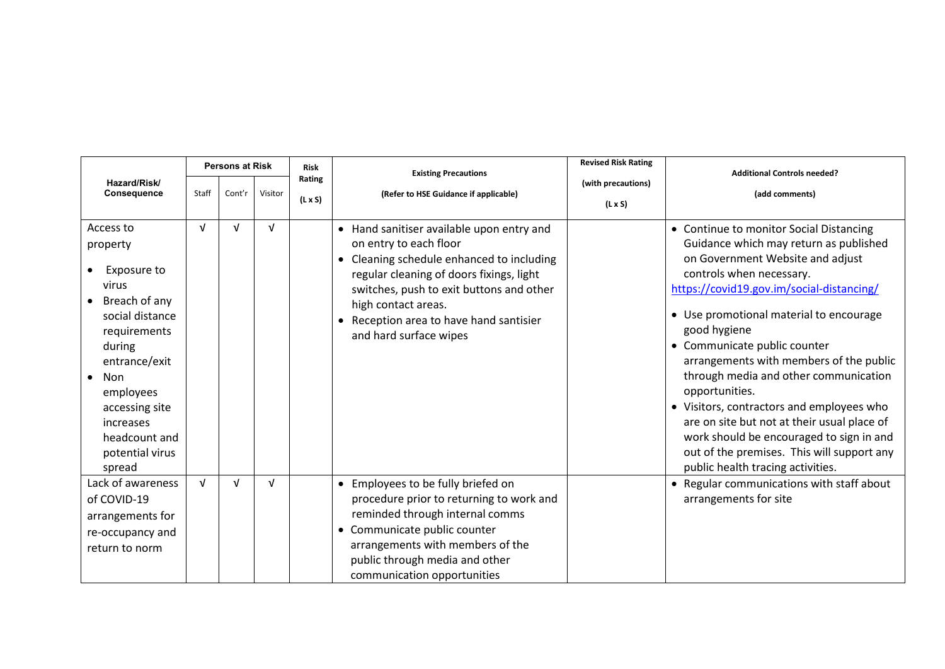| <b>Persons at Risk</b>                                                                                                                                                                                                        |            |            | <b>Risk</b> | <b>Existing Precautions</b> | <b>Revised Risk Rating</b>                                                                                                                                                                                                                                                                         | <b>Additional Controls needed?</b> |                                                                                                                                                                                                                                                                                                                                                                                                                                                                                                                                                                                                                            |  |
|-------------------------------------------------------------------------------------------------------------------------------------------------------------------------------------------------------------------------------|------------|------------|-------------|-----------------------------|----------------------------------------------------------------------------------------------------------------------------------------------------------------------------------------------------------------------------------------------------------------------------------------------------|------------------------------------|----------------------------------------------------------------------------------------------------------------------------------------------------------------------------------------------------------------------------------------------------------------------------------------------------------------------------------------------------------------------------------------------------------------------------------------------------------------------------------------------------------------------------------------------------------------------------------------------------------------------------|--|
| Hazard/Risk/<br>Consequence                                                                                                                                                                                                   | Staff      | Cont'r     | Visitor     | Rating<br>$(L \times S)$    | (with precautions)<br>(Refer to HSE Guidance if applicable)<br>$(L \times S)$                                                                                                                                                                                                                      |                                    | (add comments)                                                                                                                                                                                                                                                                                                                                                                                                                                                                                                                                                                                                             |  |
| Access to<br>property<br>Exposure to<br>virus<br>Breach of any<br>social distance<br>requirements<br>during<br>entrance/exit<br>Non<br>employees<br>accessing site<br>increases<br>headcount and<br>potential virus<br>spread | $\sqrt{ }$ | $\sqrt{ }$ | $\sqrt{ }$  |                             | • Hand sanitiser available upon entry and<br>on entry to each floor<br>• Cleaning schedule enhanced to including<br>regular cleaning of doors fixings, light<br>switches, push to exit buttons and other<br>high contact areas.<br>Reception area to have hand santisier<br>and hard surface wipes |                                    | • Continue to monitor Social Distancing<br>Guidance which may return as published<br>on Government Website and adjust<br>controls when necessary.<br>https://covid19.gov.im/social-distancing/<br>• Use promotional material to encourage<br>good hygiene<br>• Communicate public counter<br>arrangements with members of the public<br>through media and other communication<br>opportunities.<br>• Visitors, contractors and employees who<br>are on site but not at their usual place of<br>work should be encouraged to sign in and<br>out of the premises. This will support any<br>public health tracing activities. |  |
| Lack of awareness<br>of COVID-19<br>arrangements for<br>re-occupancy and<br>return to norm                                                                                                                                    | $\sqrt{ }$ | $\sqrt{ }$ | $\sqrt{ }$  |                             | • Employees to be fully briefed on<br>procedure prior to returning to work and<br>reminded through internal comms<br>• Communicate public counter<br>arrangements with members of the<br>public through media and other<br>communication opportunities                                             |                                    | • Regular communications with staff about<br>arrangements for site                                                                                                                                                                                                                                                                                                                                                                                                                                                                                                                                                         |  |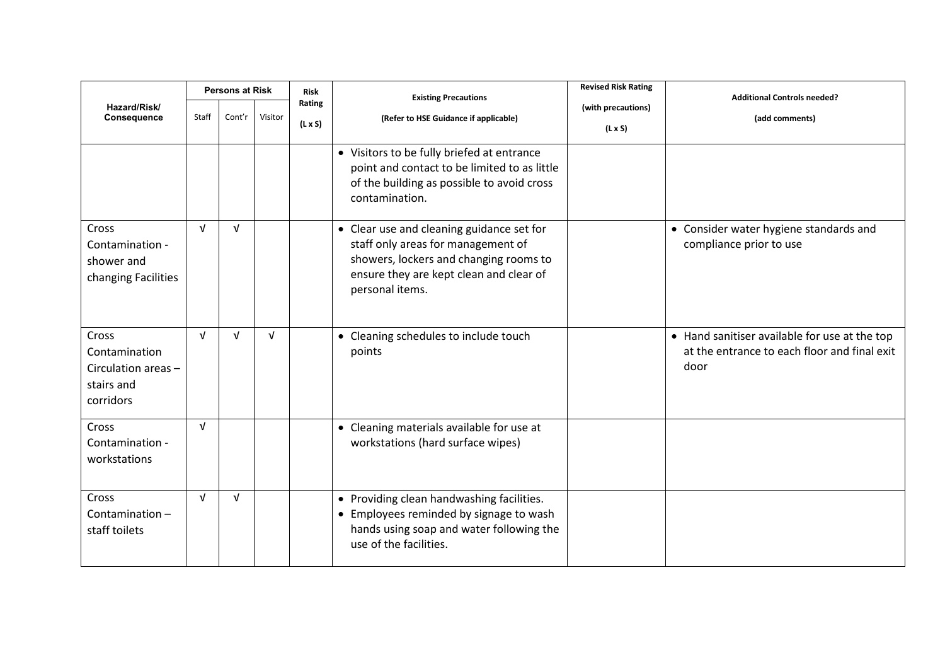|                                                                          |                 | <b>Persons at Risk</b> |            | Risk                     | <b>Existing Precautions</b>                                                                                                                                                             | <b>Revised Risk Rating</b>           | <b>Additional Controls needed?</b>                                                                    |
|--------------------------------------------------------------------------|-----------------|------------------------|------------|--------------------------|-----------------------------------------------------------------------------------------------------------------------------------------------------------------------------------------|--------------------------------------|-------------------------------------------------------------------------------------------------------|
| Hazard/Risk/<br>Consequence                                              | Staff<br>Cont'r |                        | Visitor    | Rating<br>$(L \times S)$ | (Refer to HSE Guidance if applicable)                                                                                                                                                   | (with precautions)<br>$(L \times S)$ | (add comments)                                                                                        |
|                                                                          |                 |                        |            |                          | • Visitors to be fully briefed at entrance<br>point and contact to be limited to as little<br>of the building as possible to avoid cross<br>contamination.                              |                                      |                                                                                                       |
| Cross<br>Contamination -<br>shower and<br>changing Facilities            | $\sqrt{ }$      | $\sqrt{ }$             |            |                          | • Clear use and cleaning guidance set for<br>staff only areas for management of<br>showers, lockers and changing rooms to<br>ensure they are kept clean and clear of<br>personal items. |                                      | • Consider water hygiene standards and<br>compliance prior to use                                     |
| Cross<br>Contamination<br>Circulation areas -<br>stairs and<br>corridors | $\sqrt{ }$      | $\sqrt{ }$             | $\sqrt{ }$ |                          | • Cleaning schedules to include touch<br>points                                                                                                                                         |                                      | • Hand sanitiser available for use at the top<br>at the entrance to each floor and final exit<br>door |
| Cross<br>Contamination -<br>workstations                                 | $\sqrt{ }$      |                        |            |                          | • Cleaning materials available for use at<br>workstations (hard surface wipes)                                                                                                          |                                      |                                                                                                       |
| Cross<br>Contamination-<br>staff toilets                                 | $\sqrt{ }$      | $\sqrt{ }$             |            |                          | • Providing clean handwashing facilities.<br>• Employees reminded by signage to wash<br>hands using soap and water following the<br>use of the facilities.                              |                                      |                                                                                                       |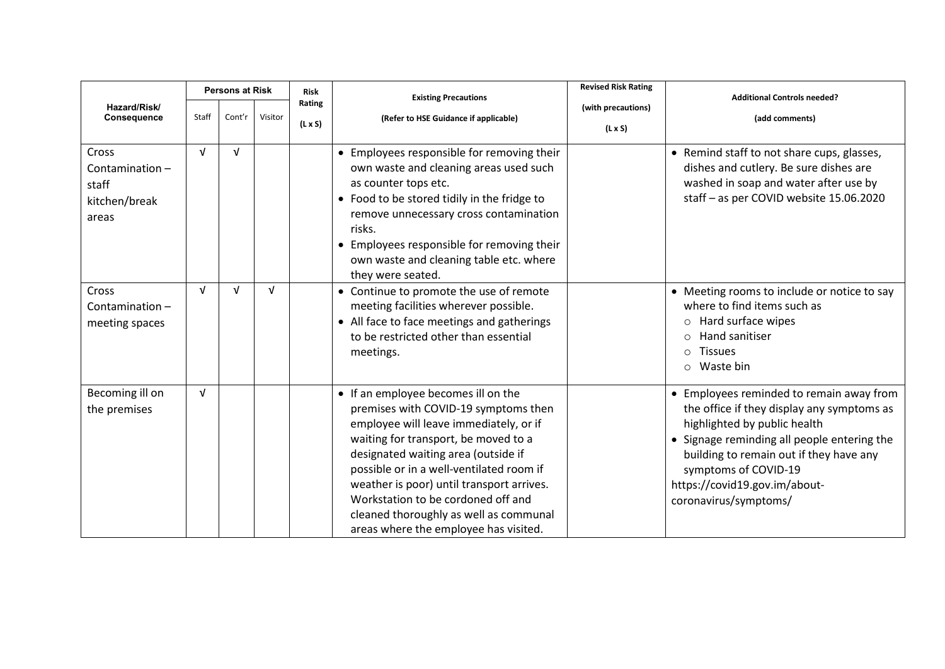|                                                            |            | <b>Persons at Risk</b> |            | <b>Risk</b>              | <b>Existing Precautions</b>                                                                                                                                                                                                                                                                                                                                                                                            | <b>Revised Risk Rating</b>           | <b>Additional Controls needed?</b>                                                                                                                                                                                                                                                                 |  |
|------------------------------------------------------------|------------|------------------------|------------|--------------------------|------------------------------------------------------------------------------------------------------------------------------------------------------------------------------------------------------------------------------------------------------------------------------------------------------------------------------------------------------------------------------------------------------------------------|--------------------------------------|----------------------------------------------------------------------------------------------------------------------------------------------------------------------------------------------------------------------------------------------------------------------------------------------------|--|
| Hazard/Risk/<br>Consequence                                | Staff      | Cont'r                 | Visitor    | Rating<br>$(L \times S)$ | (Refer to HSE Guidance if applicable)                                                                                                                                                                                                                                                                                                                                                                                  | (with precautions)<br>$(L \times S)$ | (add comments)                                                                                                                                                                                                                                                                                     |  |
| Cross<br>Contamination-<br>staff<br>kitchen/break<br>areas | $\sqrt{ }$ | $\sqrt{ }$             |            |                          | • Employees responsible for removing their<br>own waste and cleaning areas used such<br>as counter tops etc.<br>• Food to be stored tidily in the fridge to<br>remove unnecessary cross contamination<br>risks.<br>• Employees responsible for removing their<br>own waste and cleaning table etc. where<br>they were seated.                                                                                          |                                      | • Remind staff to not share cups, glasses,<br>dishes and cutlery. Be sure dishes are<br>washed in soap and water after use by<br>staff - as per COVID website 15.06.2020                                                                                                                           |  |
| Cross<br>Contamination $-$<br>meeting spaces               | $\sqrt{ }$ | $\sqrt{ }$             | $\sqrt{ }$ |                          | • Continue to promote the use of remote<br>meeting facilities wherever possible.<br>• All face to face meetings and gatherings<br>to be restricted other than essential<br>meetings.                                                                                                                                                                                                                                   |                                      | • Meeting rooms to include or notice to say<br>where to find items such as<br>Hard surface wipes<br>$\circ$<br>Hand sanitiser<br>$\Omega$<br><b>Tissues</b><br>$\circ$<br>Waste bin<br>$\circ$                                                                                                     |  |
| Becoming ill on<br>the premises                            | $\sqrt{ }$ |                        |            |                          | • If an employee becomes ill on the<br>premises with COVID-19 symptoms then<br>employee will leave immediately, or if<br>waiting for transport, be moved to a<br>designated waiting area (outside if<br>possible or in a well-ventilated room if<br>weather is poor) until transport arrives.<br>Workstation to be cordoned off and<br>cleaned thoroughly as well as communal<br>areas where the employee has visited. |                                      | • Employees reminded to remain away from<br>the office if they display any symptoms as<br>highlighted by public health<br>• Signage reminding all people entering the<br>building to remain out if they have any<br>symptoms of COVID-19<br>https://covid19.gov.im/about-<br>coronavirus/symptoms/ |  |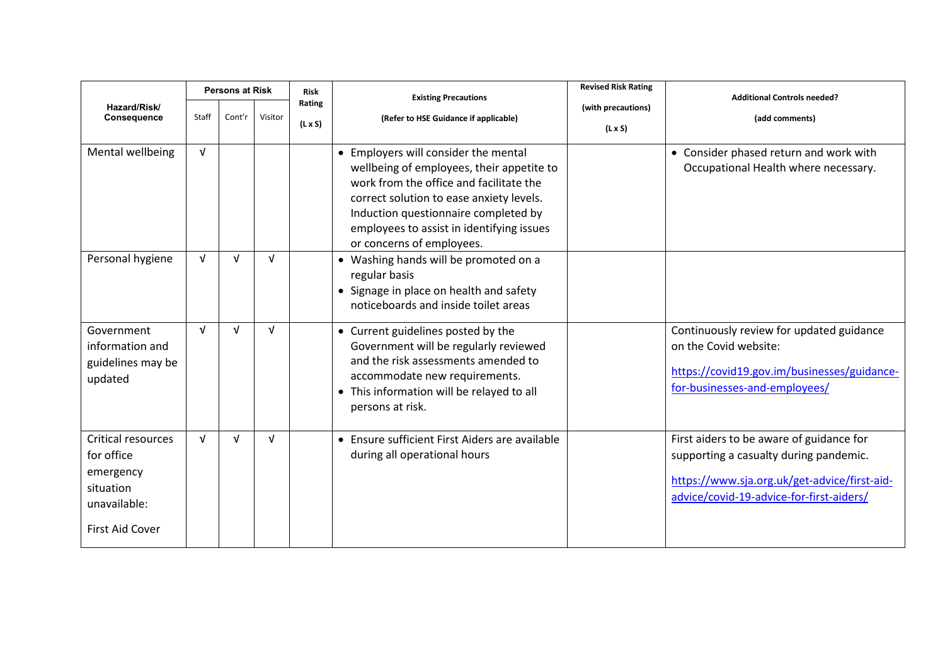|                                                                                               |              | <b>Persons at Risk</b> |            | <b>Risk</b>              | <b>Existing Precautions</b>                                                                                                                                                                                                                                                                | <b>Revised Risk Rating</b>           | <b>Additional Controls needed?</b>                                                                                                                                             |  |
|-----------------------------------------------------------------------------------------------|--------------|------------------------|------------|--------------------------|--------------------------------------------------------------------------------------------------------------------------------------------------------------------------------------------------------------------------------------------------------------------------------------------|--------------------------------------|--------------------------------------------------------------------------------------------------------------------------------------------------------------------------------|--|
| Hazard/Risk/<br><b>Consequence</b>                                                            | <b>Staff</b> | Cont'r                 | Visitor    | Rating<br>$(L \times S)$ | (Refer to HSE Guidance if applicable)                                                                                                                                                                                                                                                      | (with precautions)<br>$(L \times S)$ | (add comments)                                                                                                                                                                 |  |
| Mental wellbeing                                                                              | $\sqrt{ }$   |                        |            |                          | • Employers will consider the mental<br>wellbeing of employees, their appetite to<br>work from the office and facilitate the<br>correct solution to ease anxiety levels.<br>Induction questionnaire completed by<br>employees to assist in identifying issues<br>or concerns of employees. |                                      | • Consider phased return and work with<br>Occupational Health where necessary.                                                                                                 |  |
| Personal hygiene                                                                              | $\sqrt{ }$   | $\sqrt{ }$             | $\sqrt{ }$ |                          | • Washing hands will be promoted on a<br>regular basis<br>• Signage in place on health and safety<br>noticeboards and inside toilet areas                                                                                                                                                  |                                      |                                                                                                                                                                                |  |
| Government<br>information and<br>guidelines may be<br>updated                                 | $\sqrt{ }$   | $\sqrt{ }$             | $\sqrt{ }$ |                          | • Current guidelines posted by the<br>Government will be regularly reviewed<br>and the risk assessments amended to<br>accommodate new requirements.<br>• This information will be relayed to all<br>persons at risk.                                                                       |                                      | Continuously review for updated guidance<br>on the Covid website:<br>https://covid19.gov.im/businesses/guidance-<br>for-businesses-and-employees/                              |  |
| Critical resources<br>for office<br>emergency<br>situation<br>unavailable:<br>First Aid Cover | $\sqrt{ }$   | $\sqrt{ }$             | $\sqrt{ }$ |                          | • Ensure sufficient First Aiders are available<br>during all operational hours                                                                                                                                                                                                             |                                      | First aiders to be aware of guidance for<br>supporting a casualty during pandemic.<br>https://www.sja.org.uk/get-advice/first-aid-<br>advice/covid-19-advice-for-first-aiders/ |  |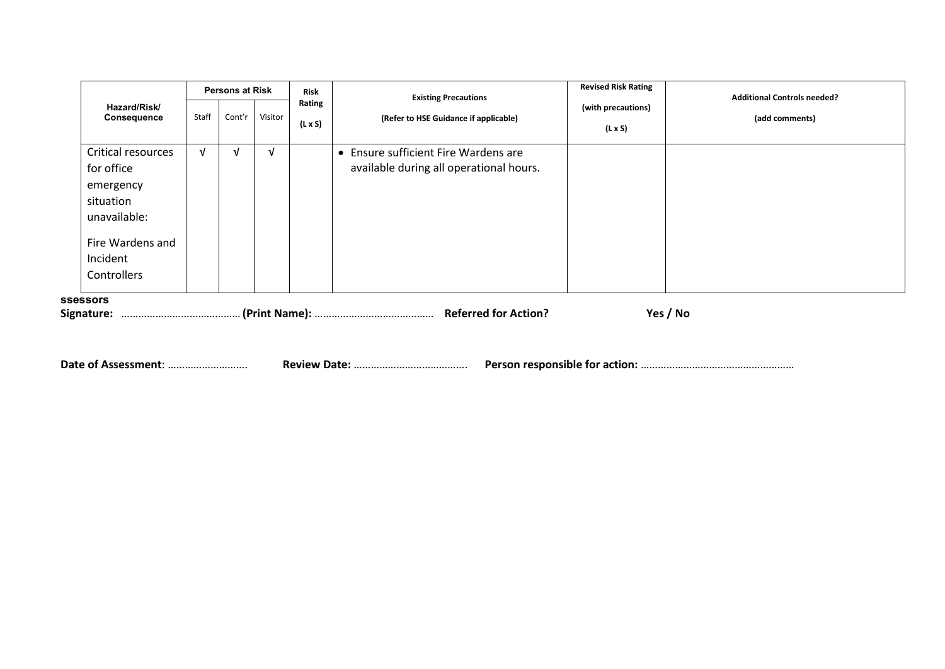|                                                                                                                           | <b>Persons at Risk</b> |        | <b>Risk</b><br><b>Existing Precautions</b> |                          | <b>Revised Risk Rating</b><br><b>Additional Controls needed?</b>                |                                      |                |
|---------------------------------------------------------------------------------------------------------------------------|------------------------|--------|--------------------------------------------|--------------------------|---------------------------------------------------------------------------------|--------------------------------------|----------------|
| Hazard/Risk/<br><b>Consequence</b>                                                                                        | Staff                  | Cont'r | Visitor                                    | Rating<br>$(L \times S)$ | (Refer to HSE Guidance if applicable)                                           | (with precautions)<br>$(L \times S)$ | (add comments) |
| Critical resources<br>for office<br>emergency<br>situation<br>unavailable:<br>Fire Wardens and<br>Incident<br>Controllers | $\sqrt{ }$             | ν      | $\sqrt{ }$                                 |                          | • Ensure sufficient Fire Wardens are<br>available during all operational hours. |                                      |                |
| <b>ssessors</b><br>Signature:                                                                                             |                        |        |                                            |                          |                                                                                 |                                      | Yes / No       |

**Date of Assessment**: ………………………. **Review Date:** …………………………………. **Person responsible for action:** ………………………………………………